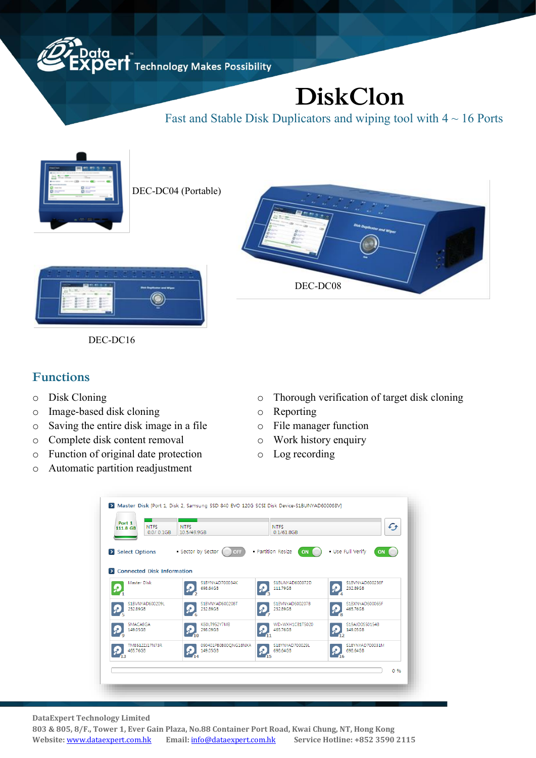Data<br>XDEIT Technology Makes Possibility

## **DiskClon**

Fast and Stable Disk Duplicators and wiping tool with  $4 \sim 16$  Ports





DEC-DC16

## **Functions**

- o Disk Cloning
- o Image-based disk cloning
- o Saving the entire disk image in a file
- o Complete disk content removal
- o Function of original date protection
- o Automatic partition readjustment
- o Thorough verification of target disk cloning
- o Reporting
- o File manager function
- o Work history enquiry
- o Log recording

| Port 1<br><b>NTFS</b><br>111.8 GB<br>0.0/0.1GB | <b>NTES</b><br>10.5/49.9GB | <b>NTES</b><br>0.1/61.8GB | $\mathcal{L}_{\mathcal{F}}$ |
|------------------------------------------------|----------------------------|---------------------------|-----------------------------|
| Select Options                                 | - Sector by Sector         | Partition Resize          | Use Full Verify             |
|                                                | OFF                        | ON 6                      | ON                          |
| Connected Disk Information                     |                            |                           |                             |
| Master Disk                                    | S1BYNYAD700034K            | S1BUNYAD600072D           | S1BVNYAD600236F             |
| $\boldsymbol{\mathcal{P}}$                     | 698.64GB                   | 111.79GB                  | 232.89GB                    |
| S1BVNYAD600209L                                | S1BVNYAD600208T            | S1BVNYAD600207B           | S1BXNYAD600065F             |
| 23289GB                                        | 232.89GB                   | 232.89GB                  | 465.76GB                    |
| 5MACA8GA                                       | K60LT952Y7MB               | WD-WXH1CB1T5020           | S19AJD0S501548              |
| 149.05GB                                       | 298.09GB                   | 465.76GB                  | 149.05GB                    |
| TM85127J17N73R                                 | 090401PB0B00QNG18NXA       | S1BYNYAD700029L           | S1BYNYAD700031M             |
| 465.76GB                                       | 149.05GB                   | 698,64GB                  | 698,64GB                    |
|                                                |                            |                           | 0.96                        |

**DataExpert Technology Limited** 

**803 & 805, 8/F., Tower 1, Ever Gain Plaza, No.88 Container Port Road, Kwai Chung, NT, Hong Kong Website:** <www.dataexpert.com.hk> **Email:** [info@dataexpert.com.hk](mailto:info@dataexpert.com.hk) **Service Hotline: +852 3590 2115**